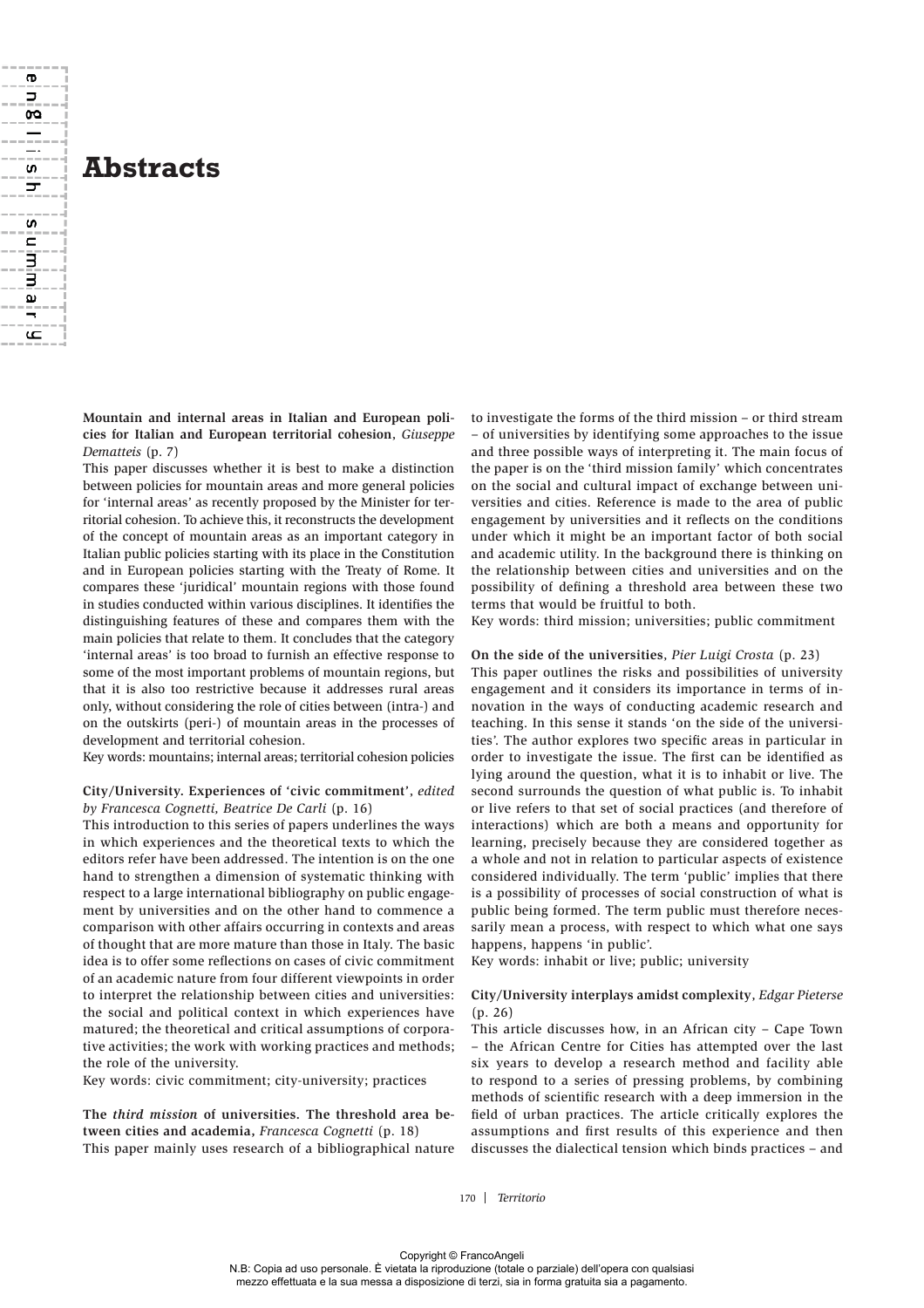

ന  $\Rightarrow$ œ  $\equiv$ \_. S ᠴ

**S** Ē

ص

**Mountain and internal areas in Italian and European policies for Italian and European territorial cohesion**, *Giuseppe Dematteis* (p. 7)

This paper discusses whether it is best to make a distinction between policies for mountain areas and more general policies for 'internal areas' as recently proposed by the Minister for territorial cohesion. To achieve this, it reconstructs the development of the concept of mountain areas as an important category in Italian public policies starting with its place in the Constitution and in European policies starting with the Treaty of Rome. It compares these 'juridical' mountain regions with those found in studies conducted within various disciplines. It identifies the distinguishing features of these and compares them with the main policies that relate to them. It concludes that the category 'internal areas' is too broad to furnish an effective response to some of the most important problems of mountain regions, but that it is also too restrictive because it addresses rural areas only, without considering the role of cities between (intra-) and on the outskirts (peri-) of mountain areas in the processes of development and territorial cohesion.

Key words: mountains; internal areas; territorial cohesion policies

# **City/University. Experiences of 'civic commitment'**, *edited by Francesca Cognetti, Beatrice De Carli* (p. 16)

This introduction to this series of papers underlines the ways in which experiences and the theoretical texts to which the editors refer have been addressed. The intention is on the one hand to strengthen a dimension of systematic thinking with respect to a large international bibliography on public engagement by universities and on the other hand to commence a comparison with other affairs occurring in contexts and areas of thought that are more mature than those in Italy. The basic idea is to offer some reflections on cases of civic commitment of an academic nature from four different viewpoints in order to interpret the relationship between cities and universities: the social and political context in which experiences have matured; the theoretical and critical assumptions of corporative activities; the work with working practices and methods; the role of the university.

Key words: civic commitment; city-university; practices

**The** *third mission* **of universities. The threshold area between cities and academia,** *Francesca Cognetti* (p. 18) This paper mainly uses research of a bibliographical nature

to investigate the forms of the third mission – or third stream – of universities by identifying some approaches to the issue and three possible ways of interpreting it. The main focus of the paper is on the 'third mission family' which concentrates on the social and cultural impact of exchange between universities and cities. Reference is made to the area of public engagement by universities and it reflects on the conditions under which it might be an important factor of both social and academic utility. In the background there is thinking on the relationship between cities and universities and on the possibility of defining a threshold area between these two terms that would be fruitful to both.

Key words: third mission; universities; public commitment

#### **On the side of the universities**, *Pier Luigi Crosta* (p. 23)

This paper outlines the risks and possibilities of university engagement and it considers its importance in terms of innovation in the ways of conducting academic research and teaching. In this sense it stands 'on the side of the universities'. The author explores two specific areas in particular in order to investigate the issue. The first can be identified as lying around the question, what it is to inhabit or live. The second surrounds the question of what public is. To inhabit or live refers to that set of social practices (and therefore of interactions) which are both a means and opportunity for learning, precisely because they are considered together as a whole and not in relation to particular aspects of existence considered individually. The term 'public' implies that there is a possibility of processes of social construction of what is public being formed. The term public must therefore necessarily mean a process, with respect to which what one says happens, happens 'in public'.

Key words: inhabit or live; public; university

## **City/University interplays amidst complexity**, *Edgar Pieterse*  (p. 26)

This article discusses how, in an African city – Cape Town – the African Centre for Cities has attempted over the last six years to develop a research method and facility able to respond to a series of pressing problems, by combining methods of scientific research with a deep immersion in the field of urban practices. The article critically explores the assumptions and first results of this experience and then discusses the dialectical tension which binds practices – and

170 *Territorio*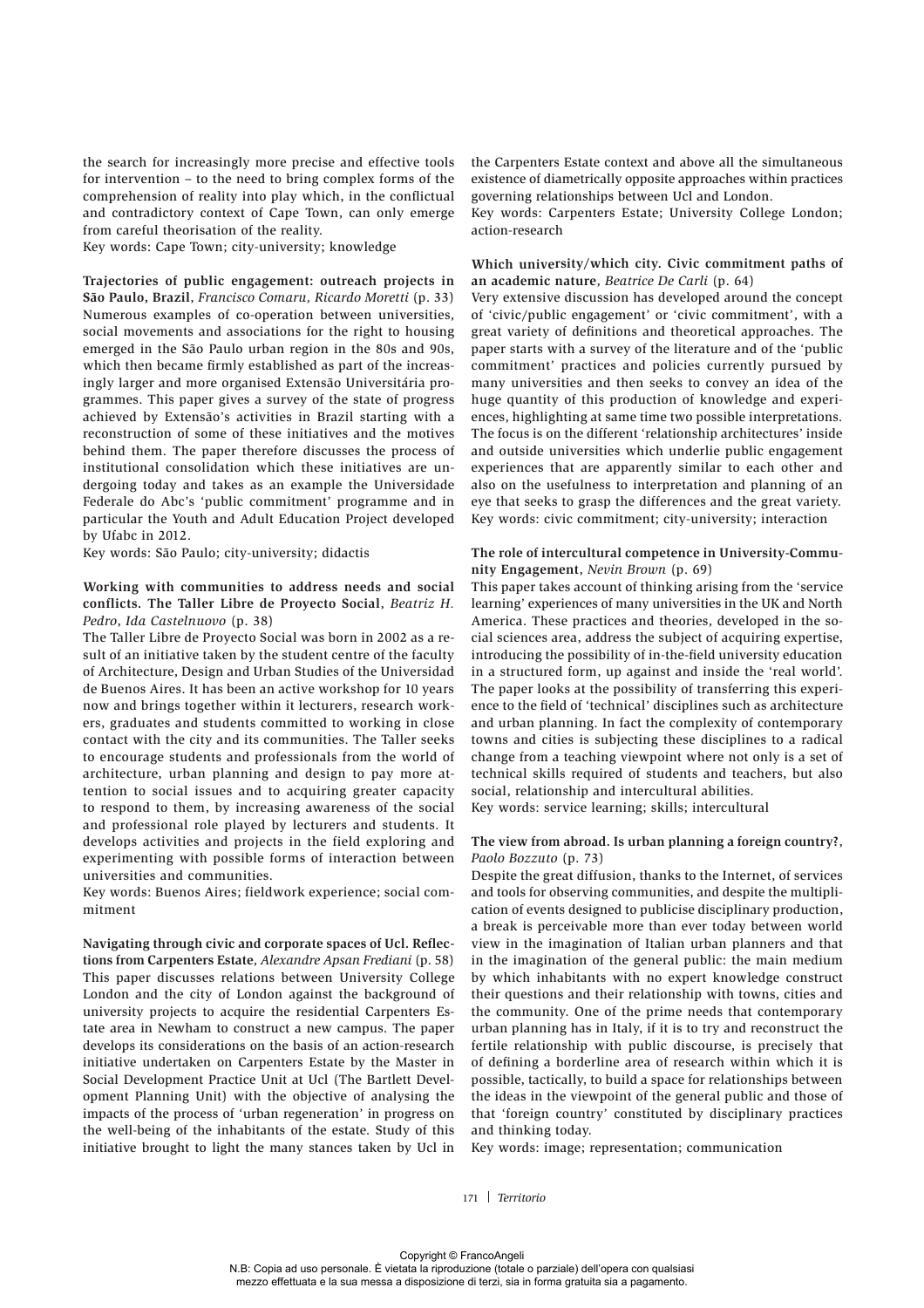the search for increasingly more precise and effective tools for intervention – to the need to bring complex forms of the comprehension of reality into play which, in the conflictual and contradictory context of Cape Town, can only emerge from careful theorisation of the reality.

Key words: Cape Town; city-university; knowledge

**Trajectories of public engagement: outreach projects in São Paulo, Brazil**, *Francisco Comaru, Ricardo Moretti* (p. 33) Numerous examples of co-operation between universities, social movements and associations for the right to housing emerged in the São Paulo urban region in the 80s and 90s, which then became firmly established as part of the increasingly larger and more organised Extensão Universitária programmes. This paper gives a survey of the state of progress achieved by Extensão's activities in Brazil starting with a reconstruction of some of these initiatives and the motives behind them. The paper therefore discusses the process of institutional consolidation which these initiatives are undergoing today and takes as an example the Universidade Federale do Abc's 'public commitment' programme and in particular the Youth and Adult Education Project developed by Ufabc in 2012.

Key words: São Paulo; city-university; didactis

## **Working with communities to address needs and social conflicts. The Taller Libre de Proyecto Social**, *Beatriz H. Pedro*, *Ida Castelnuovo* (p. 38)

The Taller Libre de Proyecto Social was born in 2002 as a result of an initiative taken by the student centre of the faculty of Architecture, Design and Urban Studies of the Universidad de Buenos Aires. It has been an active workshop for 10 years now and brings together within it lecturers, research workers, graduates and students committed to working in close contact with the city and its communities. The Taller seeks to encourage students and professionals from the world of architecture, urban planning and design to pay more attention to social issues and to acquiring greater capacity to respond to them, by increasing awareness of the social and professional role played by lecturers and students. It develops activities and projects in the field exploring and experimenting with possible forms of interaction between universities and communities.

Key words: Buenos Aires; fieldwork experience; social commitment

**Navigating through civic and corporate spaces of Ucl. Reflections from Carpenters Estate**, *Alexandre Apsan Frediani* (p. 58) This paper discusses relations between University College London and the city of London against the background of university projects to acquire the residential Carpenters Estate area in Newham to construct a new campus. The paper develops its considerations on the basis of an action-research initiative undertaken on Carpenters Estate by the Master in Social Development Practice Unit at Ucl (The Bartlett Development Planning Unit) with the objective of analysing the impacts of the process of 'urban regeneration' in progress on the well-being of the inhabitants of the estate. Study of this initiative brought to light the many stances taken by Ucl in

the Carpenters Estate context and above all the simultaneous existence of diametrically opposite approaches within practices governing relationships between Ucl and London.

Key words: Carpenters Estate; University College London; action-research

#### **Which university/which city. Civic commitment paths of an academic nature**, *Beatrice De Carli* (p. 64)

Very extensive discussion has developed around the concept of 'civic/public engagement' or 'civic commitment', with a great variety of definitions and theoretical approaches. The paper starts with a survey of the literature and of the 'public commitment' practices and policies currently pursued by many universities and then seeks to convey an idea of the huge quantity of this production of knowledge and experiences, highlighting at same time two possible interpretations. The focus is on the different 'relationship architectures' inside and outside universities which underlie public engagement experiences that are apparently similar to each other and also on the usefulness to interpretation and planning of an eye that seeks to grasp the differences and the great variety. Key words: civic commitment; city-university; interaction

### **The role of intercultural competence in University-Community Engagement**, *Nevin Brown* (p. 69)

This paper takes account of thinking arising from the 'service learning' experiences of many universities in the UK and North America. These practices and theories, developed in the social sciences area, address the subject of acquiring expertise, introducing the possibility of in-the-field university education in a structured form, up against and inside the 'real world'. The paper looks at the possibility of transferring this experience to the field of 'technical' disciplines such as architecture and urban planning. In fact the complexity of contemporary towns and cities is subjecting these disciplines to a radical change from a teaching viewpoint where not only is a set of technical skills required of students and teachers, but also social, relationship and intercultural abilities.

Key words: service learning; skills; intercultural

#### **The view from abroad. Is urban planning a foreign country?**, *Paolo Bozzuto* (p. 73)

Despite the great diffusion, thanks to the Internet, of services and tools for observing communities, and despite the multiplication of events designed to publicise disciplinary production, a break is perceivable more than ever today between world view in the imagination of Italian urban planners and that in the imagination of the general public: the main medium by which inhabitants with no expert knowledge construct their questions and their relationship with towns, cities and the community. One of the prime needs that contemporary urban planning has in Italy, if it is to try and reconstruct the fertile relationship with public discourse, is precisely that of defining a borderline area of research within which it is possible, tactically, to build a space for relationships between the ideas in the viewpoint of the general public and those of that 'foreign country' constituted by disciplinary practices and thinking today.

Key words: image; representation; communication

171 *Territorio*

N.B: Copia ad uso personale. È vietata la riproduzione (totale o parziale) dell'opera con qualsiasi mezzo effettuata e la sua messa a disposizione di terzi, sia in forma gratuita sia a pagamento.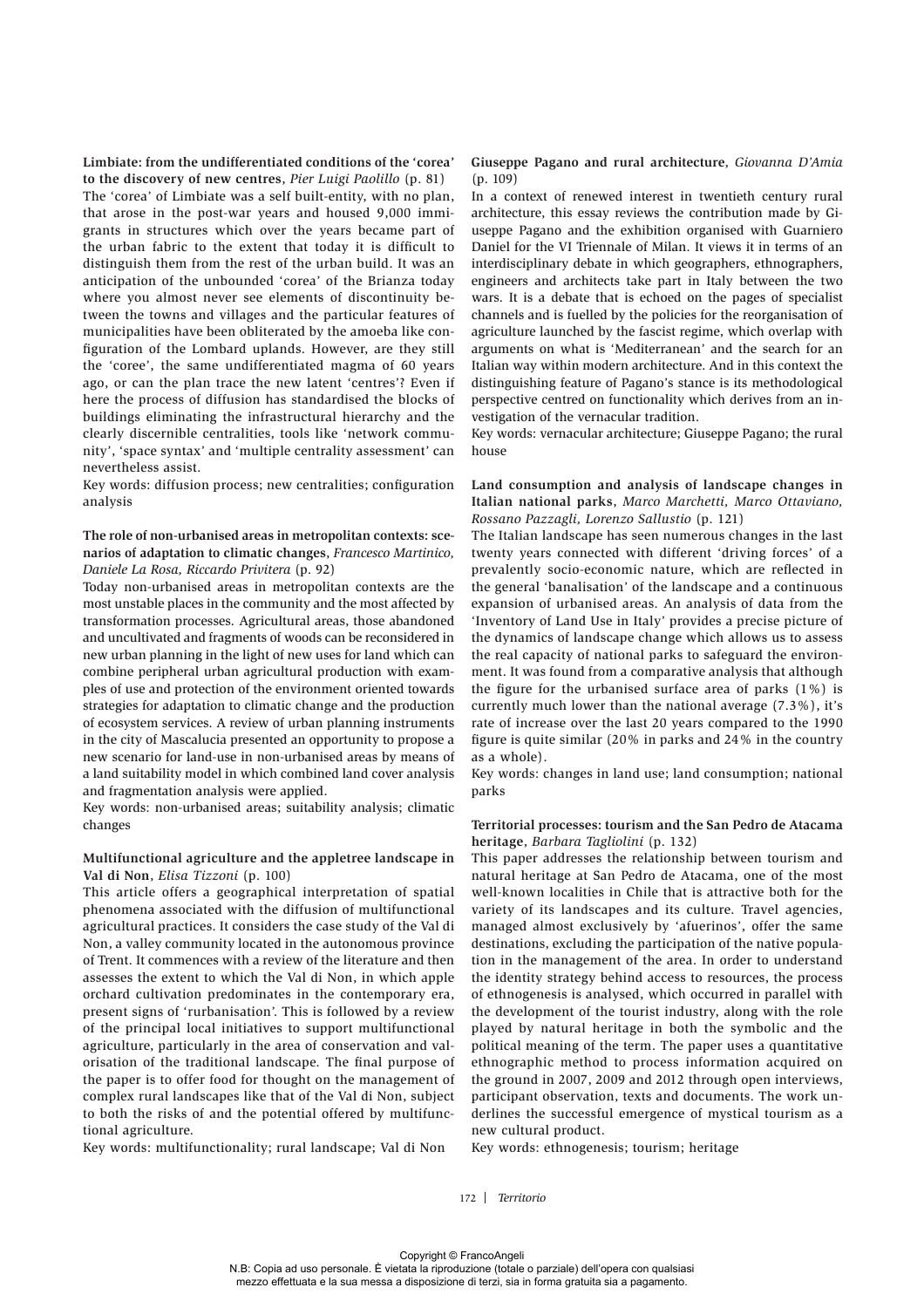**Limbiate: from the undifferentiated conditions of the 'corea' to the discovery of new centres**, *Pier Luigi Paolillo* (p. 81) The 'corea' of Limbiate was a self built-entity, with no plan, that arose in the post-war years and housed 9,000 immigrants in structures which over the years became part of the urban fabric to the extent that today it is difficult to distinguish them from the rest of the urban build. It was an anticipation of the unbounded 'corea' of the Brianza today where you almost never see elements of discontinuity between the towns and villages and the particular features of municipalities have been obliterated by the amoeba like configuration of the Lombard uplands. However, are they still the 'coree', the same undifferentiated magma of 60 years ago, or can the plan trace the new latent 'centres'? Even if here the process of diffusion has standardised the blocks of buildings eliminating the infrastructural hierarchy and the clearly discernible centralities, tools like 'network community', 'space syntax' and 'multiple centrality assessment' can nevertheless assist.

Key words: diffusion process; new centralities; configuration analysis

## **The role of non-urbanised areas in metropolitan contexts: scenarios of adaptation to climatic changes**, *Francesco Martinico, Daniele La Rosa, Riccardo Privitera* (p. 92)

Today non-urbanised areas in metropolitan contexts are the most unstable places in the community and the most affected by transformation processes. Agricultural areas, those abandoned and uncultivated and fragments of woods can be reconsidered in new urban planning in the light of new uses for land which can combine peripheral urban agricultural production with examples of use and protection of the environment oriented towards strategies for adaptation to climatic change and the production of ecosystem services. A review of urban planning instruments in the city of Mascalucia presented an opportunity to propose a new scenario for land-use in non-urbanised areas by means of a land suitability model in which combined land cover analysis and fragmentation analysis were applied.

Key words: non-urbanised areas; suitability analysis; climatic changes

## **Multifunctional agriculture and the appletree landscape in Val di Non**, *Elisa Tizzoni* (p. 100)

This article offers a geographical interpretation of spatial phenomena associated with the diffusion of multifunctional agricultural practices. It considers the case study of the Val di Non, a valley community located in the autonomous province of Trent. It commences with a review of the literature and then assesses the extent to which the Val di Non, in which apple orchard cultivation predominates in the contemporary era, present signs of 'rurbanisation'. This is followed by a review of the principal local initiatives to support multifunctional agriculture, particularly in the area of conservation and valorisation of the traditional landscape. The final purpose of the paper is to offer food for thought on the management of complex rural landscapes like that of the Val di Non, subject to both the risks of and the potential offered by multifunctional agriculture.

Key words: multifunctionality; rural landscape; Val di Non

**Giuseppe Pagano and rural architecture**, *Giovanna D'Amia*  (p. 109)

In a context of renewed interest in twentieth century rural architecture, this essay reviews the contribution made by Giuseppe Pagano and the exhibition organised with Guarniero Daniel for the VI Triennale of Milan. It views it in terms of an interdisciplinary debate in which geographers, ethnographers, engineers and architects take part in Italy between the two wars. It is a debate that is echoed on the pages of specialist channels and is fuelled by the policies for the reorganisation of agriculture launched by the fascist regime, which overlap with arguments on what is 'Mediterranean' and the search for an Italian way within modern architecture. And in this context the distinguishing feature of Pagano's stance is its methodological perspective centred on functionality which derives from an investigation of the vernacular tradition.

Key words: vernacular architecture; Giuseppe Pagano; the rural house

**Land consumption and analysis of landscape changes in Italian national parks**, *Marco Marchetti, Marco Ottaviano, Rossano Pazzagli, Lorenzo Sallustio* (p. 121)

The Italian landscape has seen numerous changes in the last twenty years connected with different 'driving forces' of a prevalently socio-economic nature, which are reflected in the general 'banalisation' of the landscape and a continuous expansion of urbanised areas. An analysis of data from the 'Inventory of Land Use in Italy' provides a precise picture of the dynamics of landscape change which allows us to assess the real capacity of national parks to safeguard the environment. It was found from a comparative analysis that although the figure for the urbanised surface area of parks (1%) is currently much lower than the national average (7.3%), it's rate of increase over the last 20 years compared to the 1990 figure is quite similar (20% in parks and 24% in the country as a whole).

Key words: changes in land use; land consumption; national parks

## **Territorial processes: tourism and the San Pedro de Atacama heritage**, *Barbara Tagliolini* (p. 132)

This paper addresses the relationship between tourism and natural heritage at San Pedro de Atacama, one of the most well-known localities in Chile that is attractive both for the variety of its landscapes and its culture. Travel agencies, managed almost exclusively by 'afuerinos', offer the same destinations, excluding the participation of the native population in the management of the area. In order to understand the identity strategy behind access to resources, the process of ethnogenesis is analysed, which occurred in parallel with the development of the tourist industry, along with the role played by natural heritage in both the symbolic and the political meaning of the term. The paper uses a quantitative ethnographic method to process information acquired on the ground in 2007, 2009 and 2012 through open interviews, participant observation, texts and documents. The work underlines the successful emergence of mystical tourism as a new cultural product.

Key words: ethnogenesis; tourism; heritage

172 *Territorio*